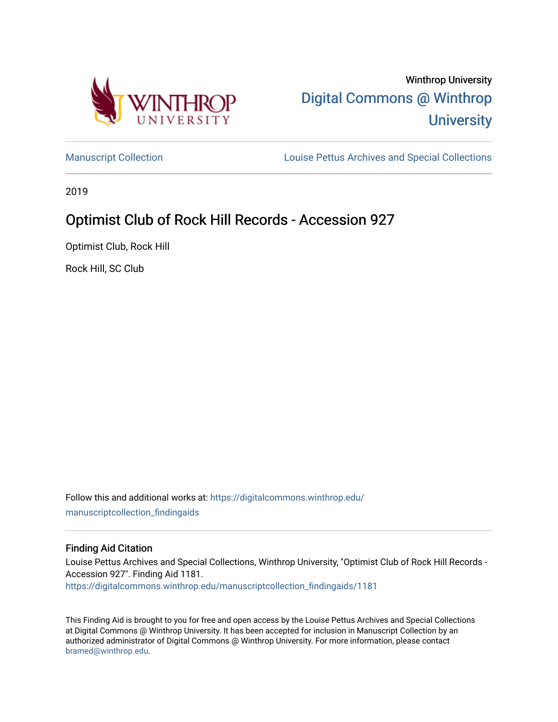

[Manuscript Collection](https://digitalcommons.winthrop.edu/manuscriptcollection_findingaids) **Louise Pettus Archives and Special Collections** 

2019

# Optimist Club of Rock Hill Records - Accession 927

Optimist Club, Rock Hill

Rock Hill, SC Club

Follow this and additional works at: [https://digitalcommons.winthrop.edu/](https://digitalcommons.winthrop.edu/manuscriptcollection_findingaids?utm_source=digitalcommons.winthrop.edu%2Fmanuscriptcollection_findingaids%2F1181&utm_medium=PDF&utm_campaign=PDFCoverPages) [manuscriptcollection\\_findingaids](https://digitalcommons.winthrop.edu/manuscriptcollection_findingaids?utm_source=digitalcommons.winthrop.edu%2Fmanuscriptcollection_findingaids%2F1181&utm_medium=PDF&utm_campaign=PDFCoverPages) 

#### Finding Aid Citation

Louise Pettus Archives and Special Collections, Winthrop University, "Optimist Club of Rock Hill Records - Accession 927". Finding Aid 1181. [https://digitalcommons.winthrop.edu/manuscriptcollection\\_findingaids/1181](https://digitalcommons.winthrop.edu/manuscriptcollection_findingaids/1181?utm_source=digitalcommons.winthrop.edu%2Fmanuscriptcollection_findingaids%2F1181&utm_medium=PDF&utm_campaign=PDFCoverPages) 

This Finding Aid is brought to you for free and open access by the Louise Pettus Archives and Special Collections at Digital Commons @ Winthrop University. It has been accepted for inclusion in Manuscript Collection by an authorized administrator of Digital Commons @ Winthrop University. For more information, please contact [bramed@winthrop.edu.](mailto:bramed@winthrop.edu)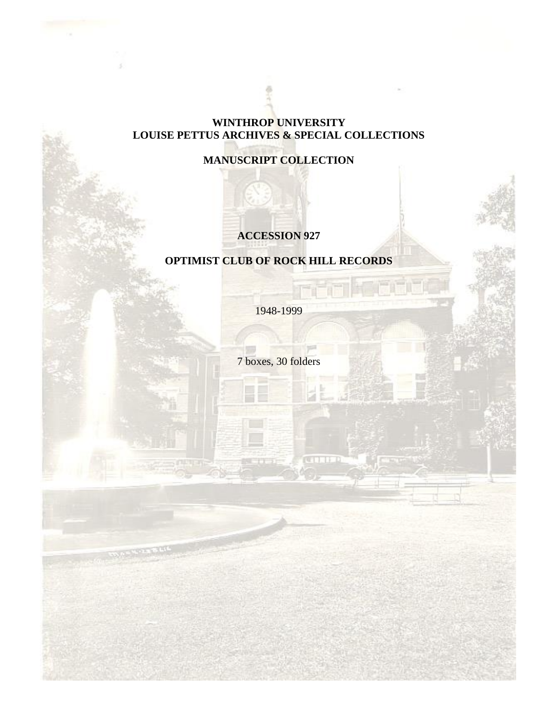## **WINTHROP UNIVERSITY LOUISE PETTUS ARCHIVES & SPECIAL COLLECTIONS**

# **MANUSCRIPT COLLECTION**

# **ACCESSION 927**

# **OPTIMIST CLUB OF ROCK HILL RECORDS**

1948-1999

7 boxes, 30 folders

and the

**CONTROL**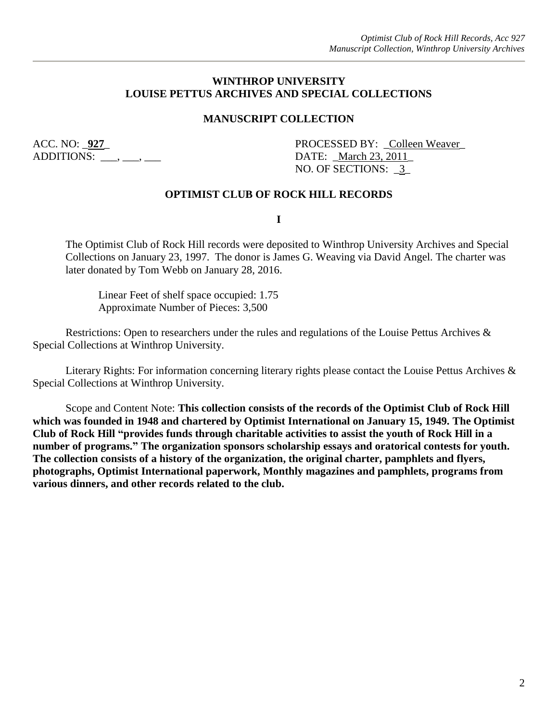### **WINTHROP UNIVERSITY LOUISE PETTUS ARCHIVES AND SPECIAL COLLECTIONS**

### **MANUSCRIPT COLLECTION**

ADDITIONS: \_\_\_, \_\_\_, \_\_\_ DATE: \_March 23, 2011\_

ACC. NO: <u>927</u> PROCESSED BY: Colleen Weaver NO. OF SECTIONS: \_3\_

#### **OPTIMIST CLUB OF ROCK HILL RECORDS**

**I**

The Optimist Club of Rock Hill records were deposited to Winthrop University Archives and Special Collections on January 23, 1997. The donor is James G. Weaving via David Angel. The charter was later donated by Tom Webb on January 28, 2016.

Linear Feet of shelf space occupied: 1.75 Approximate Number of Pieces: 3,500

Restrictions: Open to researchers under the rules and regulations of the Louise Pettus Archives & Special Collections at Winthrop University.

Literary Rights: For information concerning literary rights please contact the Louise Pettus Archives & Special Collections at Winthrop University.

Scope and Content Note: **This collection consists of the records of the Optimist Club of Rock Hill which was founded in 1948 and chartered by Optimist International on January 15, 1949. The Optimist Club of Rock Hill "provides funds through charitable activities to assist the youth of Rock Hill in a number of programs." The organization sponsors scholarship essays and oratorical contests for youth. The collection consists of a history of the organization, the original charter, pamphlets and flyers, photographs, Optimist International paperwork, Monthly magazines and pamphlets, programs from various dinners, and other records related to the club.**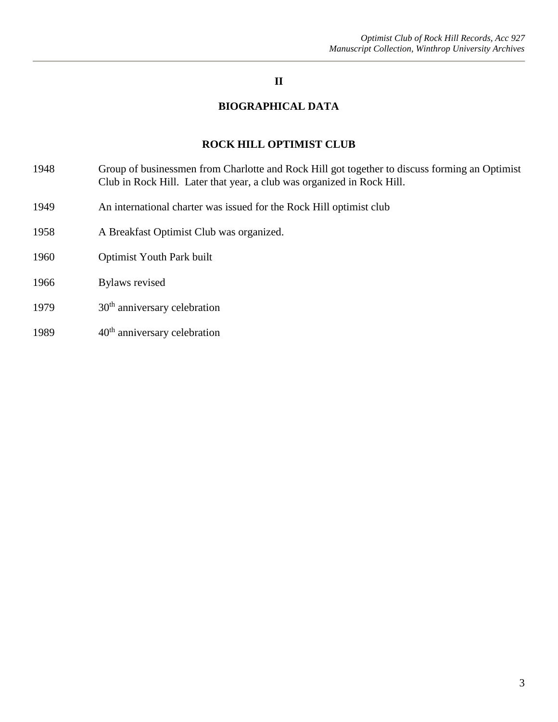## **II**

### **BIOGRAPHICAL DATA**

#### **ROCK HILL OPTIMIST CLUB**

- 1948 Group of businessmen from Charlotte and Rock Hill got together to discuss forming an Optimist Club in Rock Hill. Later that year, a club was organized in Rock Hill.
- 1949 An international charter was issued for the Rock Hill optimist club
- 1958 A Breakfast Optimist Club was organized.
- 1960 Optimist Youth Park built
- 1966 Bylaws revised
- 1979  $30<sup>th</sup>$  anniversary celebration
- 1989 40<sup>th</sup> anniversary celebration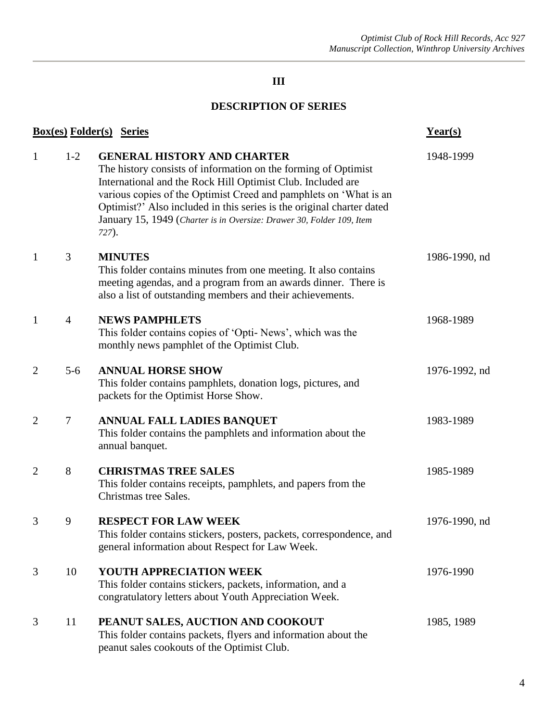# **III**

## **DESCRIPTION OF SERIES**

| <b>Box(es) Folder(s) Series</b> | $Year(s)$      |                                                                                                                                                                                                                                                                                                                                                                                                     |               |
|---------------------------------|----------------|-----------------------------------------------------------------------------------------------------------------------------------------------------------------------------------------------------------------------------------------------------------------------------------------------------------------------------------------------------------------------------------------------------|---------------|
| $\mathbf{1}$                    | $1-2$          | <b>GENERAL HISTORY AND CHARTER</b><br>The history consists of information on the forming of Optimist<br>International and the Rock Hill Optimist Club. Included are<br>various copies of the Optimist Creed and pamphlets on 'What is an<br>Optimist?' Also included in this series is the original charter dated<br>January 15, 1949 (Charter is in Oversize: Drawer 30, Folder 109, Item<br>727). | 1948-1999     |
| $\mathbf{1}$                    | 3              | <b>MINUTES</b><br>This folder contains minutes from one meeting. It also contains<br>meeting agendas, and a program from an awards dinner. There is<br>also a list of outstanding members and their achievements.                                                                                                                                                                                   | 1986-1990, nd |
| $\mathbf{1}$                    | $\overline{4}$ | <b>NEWS PAMPHLETS</b><br>This folder contains copies of 'Opti- News', which was the<br>monthly news pamphlet of the Optimist Club.                                                                                                                                                                                                                                                                  | 1968-1989     |
| $\overline{2}$                  | $5-6$          | <b>ANNUAL HORSE SHOW</b><br>This folder contains pamphlets, donation logs, pictures, and<br>packets for the Optimist Horse Show.                                                                                                                                                                                                                                                                    | 1976-1992, nd |
| $\overline{2}$                  | $\tau$         | ANNUAL FALL LADIES BANQUET<br>This folder contains the pamphlets and information about the<br>annual banquet.                                                                                                                                                                                                                                                                                       | 1983-1989     |
| $\overline{2}$                  | 8              | <b>CHRISTMAS TREE SALES</b><br>This folder contains receipts, pamphlets, and papers from the<br>Christmas tree Sales.                                                                                                                                                                                                                                                                               | 1985-1989     |
| 3                               | 9              | <b>RESPECT FOR LAW WEEK</b><br>This folder contains stickers, posters, packets, correspondence, and<br>general information about Respect for Law Week.                                                                                                                                                                                                                                              | 1976-1990, nd |
| 3                               | 10             | YOUTH APPRECIATION WEEK<br>This folder contains stickers, packets, information, and a<br>congratulatory letters about Youth Appreciation Week.                                                                                                                                                                                                                                                      | 1976-1990     |
| 3                               | 11             | PEANUT SALES, AUCTION AND COOKOUT<br>This folder contains packets, flyers and information about the<br>peanut sales cookouts of the Optimist Club.                                                                                                                                                                                                                                                  | 1985, 1989    |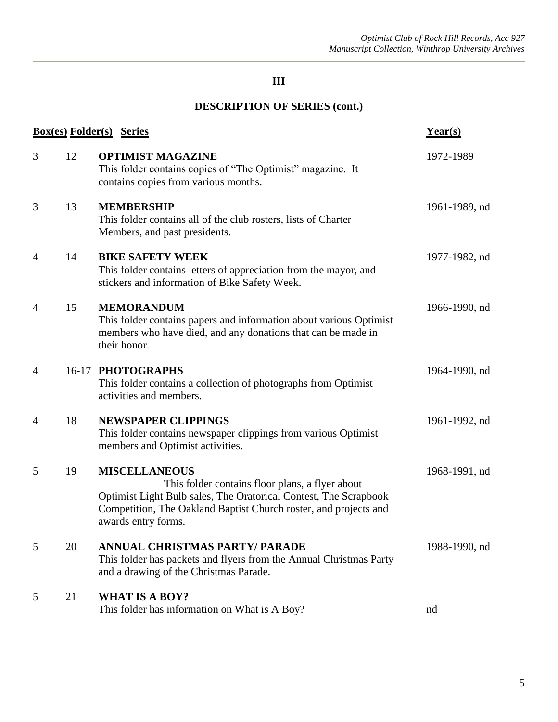# **III**

# **DESCRIPTION OF SERIES (cont.)**

| <b>Box(es) Folder(s) Series</b> | $Year(s)$ |                                                                                                                                                                                                                                        |               |
|---------------------------------|-----------|----------------------------------------------------------------------------------------------------------------------------------------------------------------------------------------------------------------------------------------|---------------|
| 3                               | 12        | <b>OPTIMIST MAGAZINE</b><br>This folder contains copies of "The Optimist" magazine. It<br>contains copies from various months.                                                                                                         | 1972-1989     |
| 3                               | 13        | <b>MEMBERSHIP</b><br>This folder contains all of the club rosters, lists of Charter<br>Members, and past presidents.                                                                                                                   | 1961-1989, nd |
| 4                               | 14        | <b>BIKE SAFETY WEEK</b><br>This folder contains letters of appreciation from the mayor, and<br>stickers and information of Bike Safety Week.                                                                                           | 1977-1982, nd |
| $\overline{4}$                  | 15        | <b>MEMORANDUM</b><br>This folder contains papers and information about various Optimist<br>members who have died, and any donations that can be made in<br>their honor.                                                                | 1966-1990, nd |
| $\overline{4}$                  |           | 16-17 PHOTOGRAPHS<br>This folder contains a collection of photographs from Optimist<br>activities and members.                                                                                                                         | 1964-1990, nd |
| 4                               | 18        | <b>NEWSPAPER CLIPPINGS</b><br>This folder contains newspaper clippings from various Optimist<br>members and Optimist activities.                                                                                                       | 1961-1992, nd |
| 5                               | 19        | <b>MISCELLANEOUS</b><br>This folder contains floor plans, a flyer about<br>Optimist Light Bulb sales, The Oratorical Contest, The Scrapbook<br>Competition, The Oakland Baptist Church roster, and projects and<br>awards entry forms. | 1968-1991, nd |
| 5                               | 20        | <b>ANNUAL CHRISTMAS PARTY/ PARADE</b><br>This folder has packets and flyers from the Annual Christmas Party<br>and a drawing of the Christmas Parade.                                                                                  | 1988-1990, nd |
| 5                               | 21        | <b>WHAT IS A BOY?</b><br>This folder has information on What is A Boy?                                                                                                                                                                 | nd            |